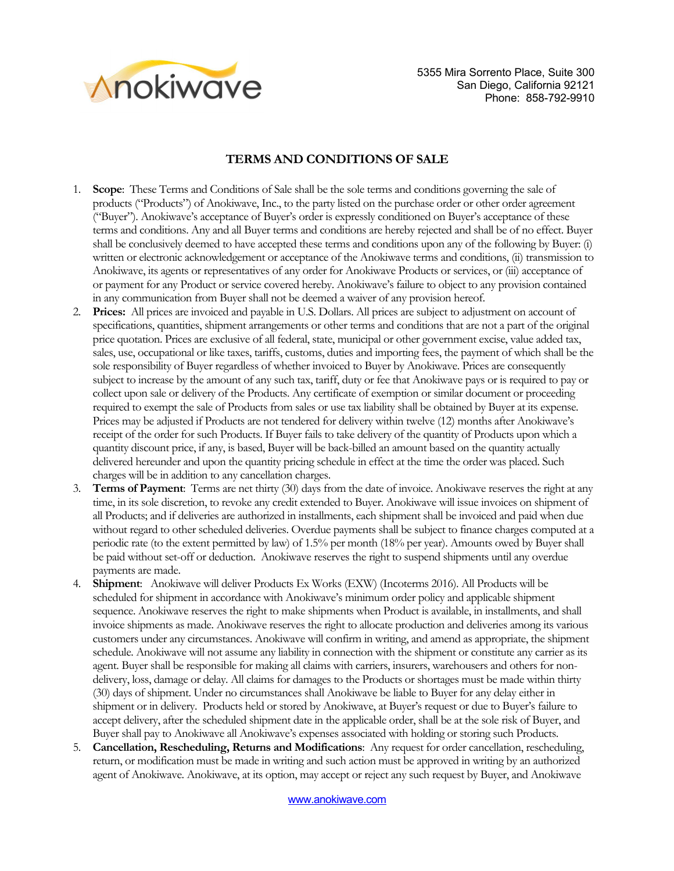

## **TERMS AND CONDITIONS OF SALE**

- 1. **Scope**: These Terms and Conditions of Sale shall be the sole terms and conditions governing the sale of products ("Products") of Anokiwave, Inc., to the party listed on the purchase order or other order agreement ("Buyer"). Anokiwave's acceptance of Buyer's order is expressly conditioned on Buyer's acceptance of these terms and conditions. Any and all Buyer terms and conditions are hereby rejected and shall be of no effect. Buyer shall be conclusively deemed to have accepted these terms and conditions upon any of the following by Buyer: (i) written or electronic acknowledgement or acceptance of the Anokiwave terms and conditions, (ii) transmission to Anokiwave, its agents or representatives of any order for Anokiwave Products or services, or (iii) acceptance of or payment for any Product or service covered hereby. Anokiwave's failure to object to any provision contained in any communication from Buyer shall not be deemed a waiver of any provision hereof.
- 2. **Prices:** All prices are invoiced and payable in U.S. Dollars. All prices are subject to adjustment on account of specifications, quantities, shipment arrangements or other terms and conditions that are not a part of the original price quotation. Prices are exclusive of all federal, state, municipal or other government excise, value added tax, sales, use, occupational or like taxes, tariffs, customs, duties and importing fees, the payment of which shall be the sole responsibility of Buyer regardless of whether invoiced to Buyer by Anokiwave. Prices are consequently subject to increase by the amount of any such tax, tariff, duty or fee that Anokiwave pays or is required to pay or collect upon sale or delivery of the Products. Any certificate of exemption or similar document or proceeding required to exempt the sale of Products from sales or use tax liability shall be obtained by Buyer at its expense. Prices may be adjusted if Products are not tendered for delivery within twelve (12) months after Anokiwave's receipt of the order for such Products. If Buyer fails to take delivery of the quantity of Products upon which a quantity discount price, if any, is based, Buyer will be back-billed an amount based on the quantity actually delivered hereunder and upon the quantity pricing schedule in effect at the time the order was placed. Such charges will be in addition to any cancellation charges.
- 3. **Terms of Payment**: Terms are net thirty (30) days from the date of invoice. Anokiwave reserves the right at any time, in its sole discretion, to revoke any credit extended to Buyer. Anokiwave will issue invoices on shipment of all Products; and if deliveries are authorized in installments, each shipment shall be invoiced and paid when due without regard to other scheduled deliveries. Overdue payments shall be subject to finance charges computed at a periodic rate (to the extent permitted by law) of 1.5% per month (18% per year). Amounts owed by Buyer shall be paid without set-off or deduction. Anokiwave reserves the right to suspend shipments until any overdue payments are made.
- 4. **Shipment**: Anokiwave will deliver Products Ex Works (EXW) (Incoterms 2016). All Products will be scheduled for shipment in accordance with Anokiwave's minimum order policy and applicable shipment sequence. Anokiwave reserves the right to make shipments when Product is available, in installments, and shall invoice shipments as made. Anokiwave reserves the right to allocate production and deliveries among its various customers under any circumstances. Anokiwave will confirm in writing, and amend as appropriate, the shipment schedule. Anokiwave will not assume any liability in connection with the shipment or constitute any carrier as its agent. Buyer shall be responsible for making all claims with carriers, insurers, warehousers and others for nondelivery, loss, damage or delay. All claims for damages to the Products or shortages must be made within thirty (30) days of shipment. Under no circumstances shall Anokiwave be liable to Buyer for any delay either in shipment or in delivery. Products held or stored by Anokiwave, at Buyer's request or due to Buyer's failure to accept delivery, after the scheduled shipment date in the applicable order, shall be at the sole risk of Buyer, and Buyer shall pay to Anokiwave all Anokiwave's expenses associated with holding or storing such Products.
- 5. **Cancellation, Rescheduling, Returns and Modifications**: Any request for order cancellation, rescheduling, return, or modification must be made in writing and such action must be approved in writing by an authorized agent of Anokiwave. Anokiwave, at its option, may accept or reject any such request by Buyer, and Anokiwave

www.anokiwave.com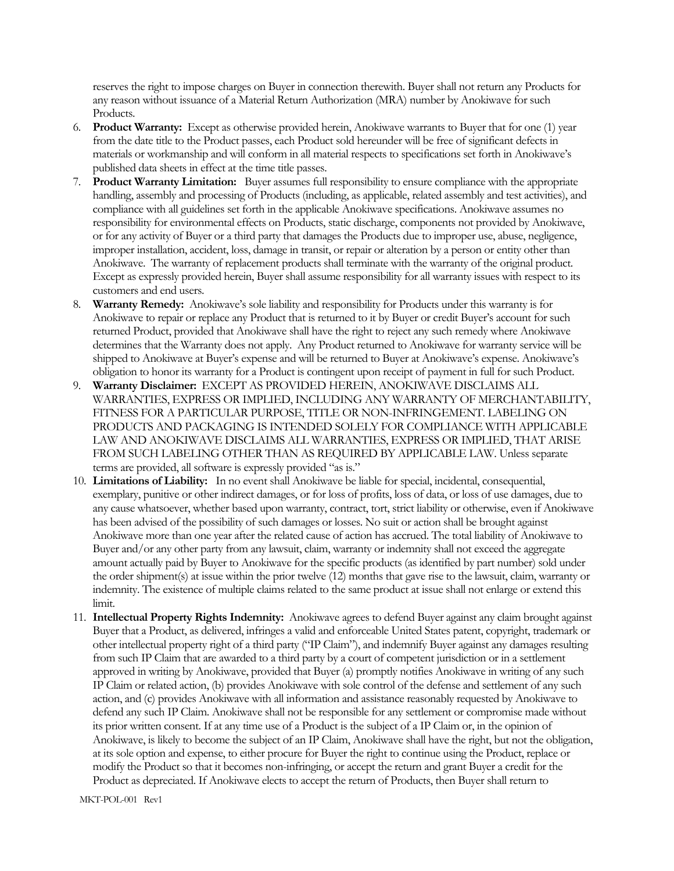reserves the right to impose charges on Buyer in connection therewith. Buyer shall not return any Products for any reason without issuance of a Material Return Authorization (MRA) number by Anokiwave for such Products.

- 6. **Product Warranty:** Except as otherwise provided herein, Anokiwave warrants to Buyer that for one (1) year from the date title to the Product passes, each Product sold hereunder will be free of significant defects in materials or workmanship and will conform in all material respects to specifications set forth in Anokiwave's published data sheets in effect at the time title passes.
- 7. **Product Warranty Limitation:** Buyer assumes full responsibility to ensure compliance with the appropriate handling, assembly and processing of Products (including, as applicable, related assembly and test activities), and compliance with all guidelines set forth in the applicable Anokiwave specifications. Anokiwave assumes no responsibility for environmental effects on Products, static discharge, components not provided by Anokiwave, or for any activity of Buyer or a third party that damages the Products due to improper use, abuse, negligence, improper installation, accident, loss, damage in transit, or repair or alteration by a person or entity other than Anokiwave. The warranty of replacement products shall terminate with the warranty of the original product. Except as expressly provided herein, Buyer shall assume responsibility for all warranty issues with respect to its customers and end users.
- 8. **Warranty Remedy:** Anokiwave's sole liability and responsibility for Products under this warranty is for Anokiwave to repair or replace any Product that is returned to it by Buyer or credit Buyer's account for such returned Product, provided that Anokiwave shall have the right to reject any such remedy where Anokiwave determines that the Warranty does not apply. Any Product returned to Anokiwave for warranty service will be shipped to Anokiwave at Buyer's expense and will be returned to Buyer at Anokiwave's expense. Anokiwave's obligation to honor its warranty for a Product is contingent upon receipt of payment in full for such Product.
- 9. **Warranty Disclaimer:** EXCEPT AS PROVIDED HEREIN, ANOKIWAVE DISCLAIMS ALL WARRANTIES, EXPRESS OR IMPLIED, INCLUDING ANY WARRANTY OF MERCHANTABILITY, FITNESS FOR A PARTICULAR PURPOSE, TITLE OR NON-INFRINGEMENT. LABELING ON PRODUCTS AND PACKAGING IS INTENDED SOLELY FOR COMPLIANCE WITH APPLICABLE LAW AND ANOKIWAVE DISCLAIMS ALL WARRANTIES, EXPRESS OR IMPLIED, THAT ARISE FROM SUCH LABELING OTHER THAN AS REQUIRED BY APPLICABLE LAW. Unless separate terms are provided, all software is expressly provided "as is."
- 10. **Limitations of Liability:** In no event shall Anokiwave be liable for special, incidental, consequential, exemplary, punitive or other indirect damages, or for loss of profits, loss of data, or loss of use damages, due to any cause whatsoever, whether based upon warranty, contract, tort, strict liability or otherwise, even if Anokiwave has been advised of the possibility of such damages or losses. No suit or action shall be brought against Anokiwave more than one year after the related cause of action has accrued. The total liability of Anokiwave to Buyer and/or any other party from any lawsuit, claim, warranty or indemnity shall not exceed the aggregate amount actually paid by Buyer to Anokiwave for the specific products (as identified by part number) sold under the order shipment(s) at issue within the prior twelve (12) months that gave rise to the lawsuit, claim, warranty or indemnity. The existence of multiple claims related to the same product at issue shall not enlarge or extend this limit.
- 11. **Intellectual Property Rights Indemnity:** Anokiwave agrees to defend Buyer against any claim brought against Buyer that a Product, as delivered, infringes a valid and enforceable United States patent, copyright, trademark or other intellectual property right of a third party ("IP Claim"), and indemnify Buyer against any damages resulting from such IP Claim that are awarded to a third party by a court of competent jurisdiction or in a settlement approved in writing by Anokiwave, provided that Buyer (a) promptly notifies Anokiwave in writing of any such IP Claim or related action, (b) provides Anokiwave with sole control of the defense and settlement of any such action, and (c) provides Anokiwave with all information and assistance reasonably requested by Anokiwave to defend any such IP Claim. Anokiwave shall not be responsible for any settlement or compromise made without its prior written consent. If at any time use of a Product is the subject of a IP Claim or, in the opinion of Anokiwave, is likely to become the subject of an IP Claim, Anokiwave shall have the right, but not the obligation, at its sole option and expense, to either procure for Buyer the right to continue using the Product, replace or modify the Product so that it becomes non-infringing, or accept the return and grant Buyer a credit for the Product as depreciated. If Anokiwave elects to accept the return of Products, then Buyer shall return to

MKT-POL-001 Rev1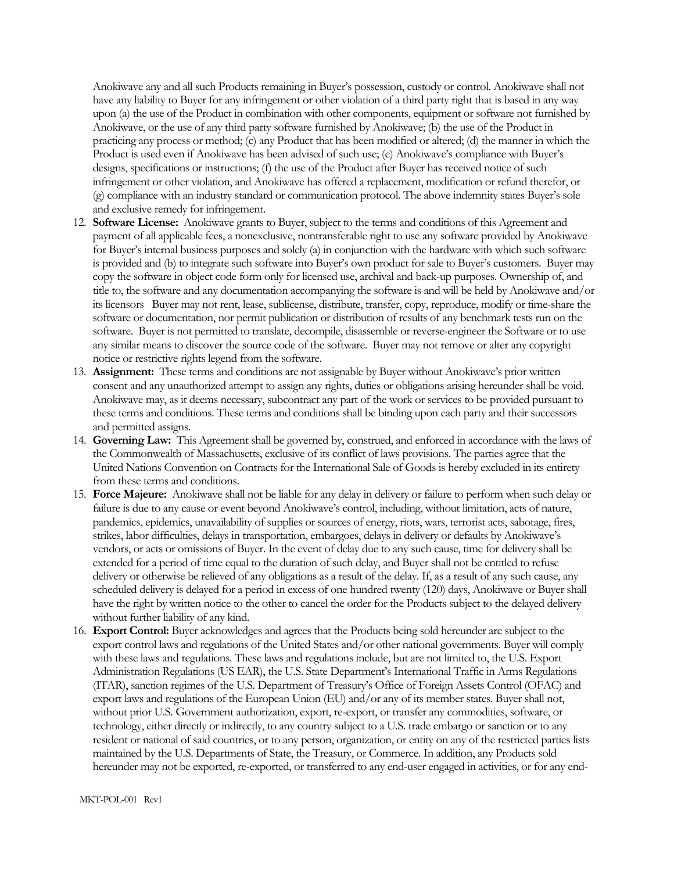Anokiwave any and all such Products remaining in Buyer's possession, custody or control. Anokiwave shall not have any liability to Buyer for any infringement or other violation of a third party right that is based in any way upon (a) the use of the Product in combination with other components, equipment or software not furnished by Anokiwave, or the use of any third party software furnished by Anokiwave; (b) the use of the Product in practicing any process or method; (c) any Product that has been modified or altered; (d) the manner in which the Product is used even if Anokiwave has been advised of such use; (e) Anokiwave's compliance with Buyer's designs, specifications or instructions; (f) the use of the Product after Buyer has received notice of such infringement or other violation, and Anokiwave has offered a replacement, modification or refund therefor, or (g) compliance with an industry standard or communication protocol. The above indemnity states Buyer's sole and exclusive remedy for infringement.

- 12. **Software License:** Anokiwave grants to Buyer, subject to the terms and conditions of this Agreement and payment of all applicable fees, a nonexclusive, nontransferable right to use any software provided by Anokiwave for Buyer's internal business purposes and solely (a) in conjunction with the hardware with which such software is provided and (b) to integrate such software into Buyer's own product for sale to Buyer's customers. Buyer may copy the software in object code form only for licensed use, archival and back-up purposes. Ownership of, and title to, the software and any documentation accompanying the software is and will be held by Anokiwave and/or its licensorsBuyer may not rent, lease, sublicense, distribute, transfer, copy, reproduce, modify or time-share the software or documentation, nor permit publication or distribution of results of any benchmark tests run on the software. Buyer is not permitted to translate, decompile, disassemble or reverse-engineer the Software or to use any similar means to discover the source code of the software. Buyer may not remove or alter any copyright notice or restrictive rights legend from the software.
- 13. **Assignment:** These terms and conditions are not assignable by Buyer without Anokiwave's prior written consent and any unauthorized attempt to assign any rights, duties or obligations arising hereunder shall be void. Anokiwave may, as it deems necessary, subcontract any part of the work or services to be provided pursuant to these terms and conditions. These terms and conditions shall be binding upon each party and their successors and permitted assigns.
- 14. **Governing Law:** This Agreement shall be governed by, construed, and enforced in accordance with the laws of the Commonwealth of Massachusetts, exclusive of its conflict of laws provisions. The parties agree that the United Nations Convention on Contracts for the International Sale of Goods is hereby excluded in its entirety from these terms and conditions.
- 15. **Force Majeure:** Anokiwave shall not be liable for any delay in delivery or failure to perform when such delay or failure is due to any cause or event beyond Anokiwave's control, including, without limitation, acts of nature, pandemics, epidemics, unavailability of supplies or sources of energy, riots, wars, terrorist acts, sabotage, fires, strikes, labor difficulties, delays in transportation, embargoes, delays in delivery or defaults by Anokiwave's vendors, or acts or omissions of Buyer. In the event of delay due to any such cause, time for delivery shall be extended for a period of time equal to the duration of such delay, and Buyer shall not be entitled to refuse delivery or otherwise be relieved of any obligations as a result of the delay. If, as a result of any such cause, any scheduled delivery is delayed for a period in excess of one hundred twenty (120) days, Anokiwave or Buyer shall have the right by written notice to the other to cancel the order for the Products subject to the delayed delivery without further liability of any kind.
- 16. **Export Control:** Buyer acknowledges and agrees that the Products being sold hereunder are subject to the export control laws and regulations of the United States and/or other national governments. Buyer will comply with these laws and regulations. These laws and regulations include, but are not limited to, the U.S. Export Administration Regulations (US EAR), the U.S. State Department's International Traffic in Arms Regulations (ITAR), sanction regimes of the U.S. Department of Treasury's Office of Foreign Assets Control (OFAC) and export laws and regulations of the European Union (EU) and/or any of its member states. Buyer shall not, without prior U.S. Government authorization, export, re-export, or transfer any commodities, software, or technology, either directly or indirectly, to any country subject to a U.S. trade embargo or sanction or to any resident or national of said countries, or to any person, organization, or entity on any of the restricted parties lists maintained by the U.S. Departments of State, the Treasury, or Commerce. In addition, any Products sold hereunder may not be exported, re-exported, or transferred to any end-user engaged in activities, or for any end-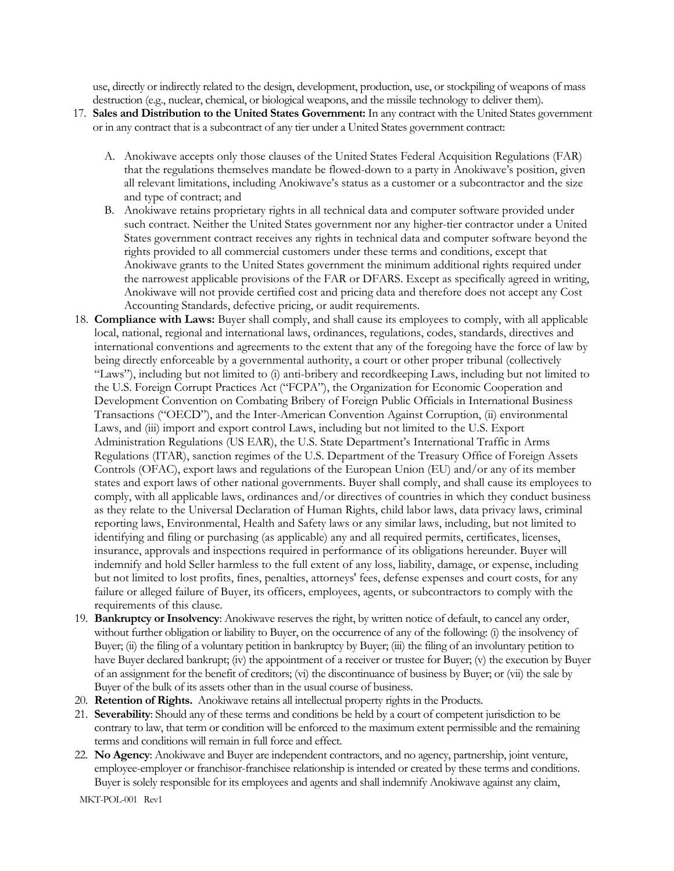use, directly or indirectly related to the design, development, production, use, or stockpiling of weapons of mass destruction (e.g., nuclear, chemical, or biological weapons, and the missile technology to deliver them).

- 17. **Sales and Distribution to the United States Government:** In any contract with the United States government or in any contract that is a subcontract of any tier under a United States government contract:
	- A. Anokiwave accepts only those clauses of the United States Federal Acquisition Regulations (FAR) that the regulations themselves mandate be flowed-down to a party in Anokiwave's position, given all relevant limitations, including Anokiwave's status as a customer or a subcontractor and the size and type of contract; and
	- B. Anokiwave retains proprietary rights in all technical data and computer software provided under such contract. Neither the United States government nor any higher-tier contractor under a United States government contract receives any rights in technical data and computer software beyond the rights provided to all commercial customers under these terms and conditions, except that Anokiwave grants to the United States government the minimum additional rights required under the narrowest applicable provisions of the FAR or DFARS. Except as specifically agreed in writing, Anokiwave will not provide certified cost and pricing data and therefore does not accept any Cost Accounting Standards, defective pricing, or audit requirements.
- 18. **Compliance with Laws:** Buyer shall comply, and shall cause its employees to comply, with all applicable local, national, regional and international laws, ordinances, regulations, codes, standards, directives and international conventions and agreements to the extent that any of the foregoing have the force of law by being directly enforceable by a governmental authority, a court or other proper tribunal (collectively "Laws"), including but not limited to (i) anti-bribery and recordkeeping Laws, including but not limited to the U.S. Foreign Corrupt Practices Act ("FCPA"), the Organization for Economic Cooperation and Development Convention on Combating Bribery of Foreign Public Officials in International Business Transactions ("OECD"), and the Inter-American Convention Against Corruption, (ii) environmental Laws, and (iii) import and export control Laws, including but not limited to the U.S. Export Administration Regulations (US EAR), the U.S. State Department's International Traffic in Arms Regulations (ITAR), sanction regimes of the U.S. Department of the Treasury Office of Foreign Assets Controls (OFAC), export laws and regulations of the European Union (EU) and/or any of its member states and export laws of other national governments. Buyer shall comply, and shall cause its employees to comply, with all applicable laws, ordinances and/or directives of countries in which they conduct business as they relate to the Universal Declaration of Human Rights, child labor laws, data privacy laws, criminal reporting laws, Environmental, Health and Safety laws or any similar laws, including, but not limited to identifying and filing or purchasing (as applicable) any and all required permits, certificates, licenses, insurance, approvals and inspections required in performance of its obligations hereunder. Buyer will indemnify and hold Seller harmless to the full extent of any loss, liability, damage, or expense, including but not limited to lost profits, fines, penalties, attorneys' fees, defense expenses and court costs, for any failure or alleged failure of Buyer, its officers, employees, agents, or subcontractors to comply with the requirements of this clause.
- 19. **Bankruptcy or Insolvency**: Anokiwave reserves the right, by written notice of default, to cancel any order, without further obligation or liability to Buyer, on the occurrence of any of the following: (i) the insolvency of Buyer; (ii) the filing of a voluntary petition in bankruptcy by Buyer; (iii) the filing of an involuntary petition to have Buyer declared bankrupt; (iv) the appointment of a receiver or trustee for Buyer; (v) the execution by Buyer of an assignment for the benefit of creditors; (vi) the discontinuance of business by Buyer; or (vii) the sale by Buyer of the bulk of its assets other than in the usual course of business.
- 20. **Retention of Rights.** Anokiwave retains all intellectual property rights in the Products.
- 21. **Severability**: Should any of these terms and conditions be held by a court of competent jurisdiction to be contrary to law, that term or condition will be enforced to the maximum extent permissible and the remaining terms and conditions will remain in full force and effect.
- 22. **No Agency**: Anokiwave and Buyer are independent contractors, and no agency, partnership, joint venture, employee-employer or franchisor-franchisee relationship is intended or created by these terms and conditions. Buyer is solely responsible for its employees and agents and shall indemnify Anokiwave against any claim,

MKT-POL-001 Rev1